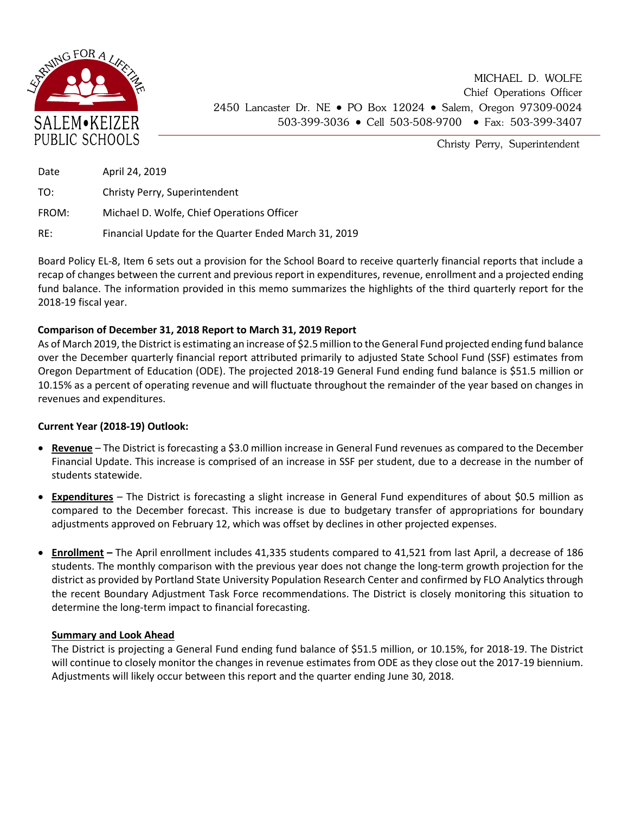

MICHAEL D. WOLFE Chief Operations Officer 2450 Lancaster Dr. NE • PO Box 12024 • Salem, Oregon 97309-0024 503-399-3036 • Cell 503-508-9700 • Fax: 503-399-3407

Christy Perry, Superintendent

| Date  | April 24, 2019                                        |
|-------|-------------------------------------------------------|
| TO:   | Christy Perry, Superintendent                         |
| FROM: | Michael D. Wolfe, Chief Operations Officer            |
| RE:   | Financial Update for the Quarter Ended March 31, 2019 |

Board Policy EL-8, Item 6 sets out a provision for the School Board to receive quarterly financial reports that include a recap of changes between the current and previous report in expenditures, revenue, enrollment and a projected ending fund balance. The information provided in this memo summarizes the highlights of the third quarterly report for the 2018-19 fiscal year.

## **Comparison of December 31, 2018 Report to March 31, 2019 Report**

As of March 2019, the District is estimating an increase of \$2.5million to the General Fund projected ending fund balance over the December quarterly financial report attributed primarily to adjusted State School Fund (SSF) estimates from Oregon Department of Education (ODE). The projected 2018-19 General Fund ending fund balance is \$51.5 million or 10.15% as a percent of operating revenue and will fluctuate throughout the remainder of the year based on changes in revenues and expenditures.

## **Current Year (2018-19) Outlook:**

- **Revenue** The District is forecasting a \$3.0 million increase in General Fund revenues as compared to the December Financial Update. This increase is comprised of an increase in SSF per student, due to a decrease in the number of students statewide.
- **Expenditures** The District is forecasting a slight increase in General Fund expenditures of about \$0.5 million as compared to the December forecast. This increase is due to budgetary transfer of appropriations for boundary adjustments approved on February 12, which was offset by declines in other projected expenses.
- **Enrollment –** The April enrollment includes 41,335 students compared to 41,521 from last April, a decrease of 186 students. The monthly comparison with the previous year does not change the long-term growth projection for the district as provided by Portland State University Population Research Center and confirmed by FLO Analytics through the recent Boundary Adjustment Task Force recommendations. The District is closely monitoring this situation to determine the long-term impact to financial forecasting.

## **Summary and Look Ahead**

The District is projecting a General Fund ending fund balance of \$51.5 million, or 10.15%, for 2018-19. The District will continue to closely monitor the changes in revenue estimates from ODE as they close out the 2017-19 biennium. Adjustments will likely occur between this report and the quarter ending June 30, 2018.